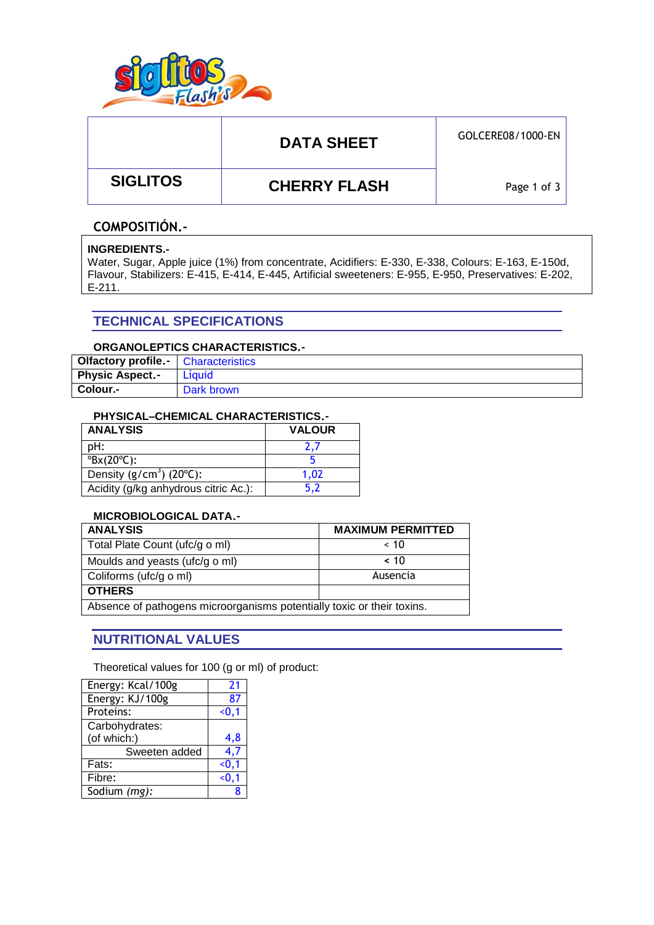

# DATA SHEET **GOLCERE08/1000-EN**

 **SIGLITOS CHERRY FLASH**

Page 1 of 3

### **COMPOSITIÓN.-**

#### **INGREDIENTS.-**

Water, Sugar, Apple juice (1%) from concentrate, Acidifiers: E-330, E-338, Colours: E-163, E-150d, Flavour, Stabilizers: E-415, E-414, E-445, Artificial sweeteners: E-955, E-950, Preservatives: E-202, E-211.

### **TECHNICAL SPECIFICATIONS**

#### **ORGANOLEPTICS CHARACTERISTICS.-**

| <b>Olfactory profile.</b>   Characteristics |            |
|---------------------------------------------|------------|
| <b>Physic Aspect.-</b>                      | Líauid     |
| Colour.-                                    | Dark brown |

#### **PHYSICAL–CHEMICAL CHARACTERISTICS.-**

| <b>ANALYSIS</b>                        | <b>VALOUR</b> |  |  |
|----------------------------------------|---------------|--|--|
| pH:                                    | 2.7           |  |  |
| $\mathrm{PBX}(20^{\circ}\mathrm{C})$ : |               |  |  |
| Density $(g/cm3)$ (20 $°C$ ):          | 1.02          |  |  |
| Acidity (g/kg anhydrous citric Ac.):   | 5.2           |  |  |

### **MICROBIOLOGICAL DATA.-**

| <b>ANALYSIS</b>                                                        | <b>MAXIMUM PERMITTED</b> |  |  |
|------------------------------------------------------------------------|--------------------------|--|--|
| Total Plate Count (ufc/g o ml)                                         | ~< 10                    |  |  |
| Moulds and yeasts (ufc/g o ml)                                         | ~< 10                    |  |  |
| Coliforms (ufc/g o ml)                                                 | Ausencia                 |  |  |
| <b>OTHERS</b>                                                          |                          |  |  |
| Absence of pathogens microorganisms potentially toxic or their toxins. |                          |  |  |

### **NUTRITIONAL VALUES**

Theoretical values for 100 (g or ml) of product:

| Energy: Kcal/100g | 21     |
|-------------------|--------|
| Energy: KJ/100g   | 87     |
| Proteins:         | $0,1$  |
| Carbohydrates:    |        |
| (of which:)       | 4,8    |
| Sweeten added     | 4,7    |
| Fats:             | $0.1$  |
| Fibre:            | < 0, 1 |
| Sodium (mg):      | R      |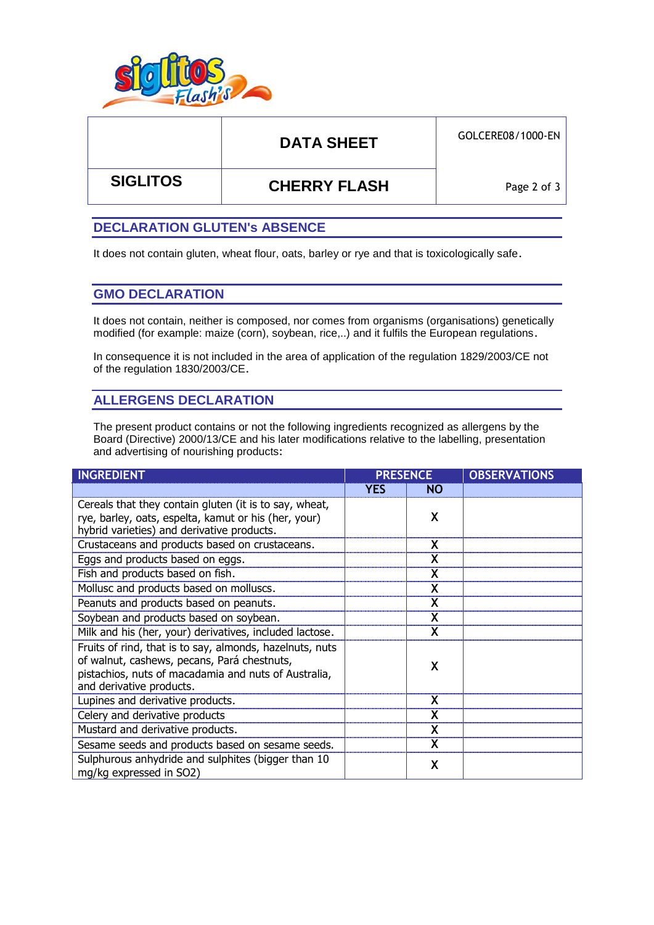

# DATA SHEET **GOLCERE08/1000-EN**

 **SIGLITOS CHERRY FLASH**

Page 2 of 3

### **DECLARATION GLUTEN's ABSENCE**

It does not contain gluten, wheat flour, oats, barley or rye and that is toxicologically safe.

### **GMO DECLARATION**

It does not contain, neither is composed, nor comes from organisms (organisations) genetically modified (for example: maize (corn), soybean, rice,..) and it fulfils the European regulations.

In consequence it is not included in the area of application of the regulation 1829/2003/CE not of the regulation 1830/2003/CE.

## **ALLERGENS DECLARATION**

The present product contains or not the following ingredients recognized as allergens by the Board (Directive) 2000/13/CE and his later modifications relative to the labelling, presentation and advertising of nourishing products:

| <b>INGREDIENT</b>                                                                                                                                                                           | <b>PRESENCE</b> |           | <b>OBSERVATIONS</b> |
|---------------------------------------------------------------------------------------------------------------------------------------------------------------------------------------------|-----------------|-----------|---------------------|
|                                                                                                                                                                                             | <b>YES</b>      | <b>NO</b> |                     |
| Cereals that they contain gluten (it is to say, wheat,<br>rye, barley, oats, espelta, kamut or his (her, your)<br>hybrid varieties) and derivative products.                                |                 | X         |                     |
| Crustaceans and products based on crustaceans.                                                                                                                                              |                 | X         |                     |
| Eggs and products based on eggs.                                                                                                                                                            |                 | X         |                     |
| Fish and products based on fish.                                                                                                                                                            |                 |           |                     |
| Mollusc and products based on molluscs.                                                                                                                                                     |                 | X         |                     |
| Peanuts and products based on peanuts.                                                                                                                                                      |                 | X         |                     |
| Soybean and products based on soybean.                                                                                                                                                      |                 | X         |                     |
| Milk and his (her, your) derivatives, included lactose.                                                                                                                                     |                 |           |                     |
| Fruits of rind, that is to say, almonds, hazelnuts, nuts<br>of walnut, cashews, pecans, Pará chestnuts,<br>pistachios, nuts of macadamia and nuts of Australia,<br>and derivative products. |                 | χ         |                     |
| Lupines and derivative products.                                                                                                                                                            |                 | X         |                     |
| Celery and derivative products                                                                                                                                                              |                 |           |                     |
| Mustard and derivative products.                                                                                                                                                            |                 |           |                     |
| Sesame seeds and products based on sesame seeds.                                                                                                                                            |                 | X         |                     |
| Sulphurous anhydride and sulphites (bigger than 10<br>mg/kg expressed in SO2)                                                                                                               |                 | X         |                     |